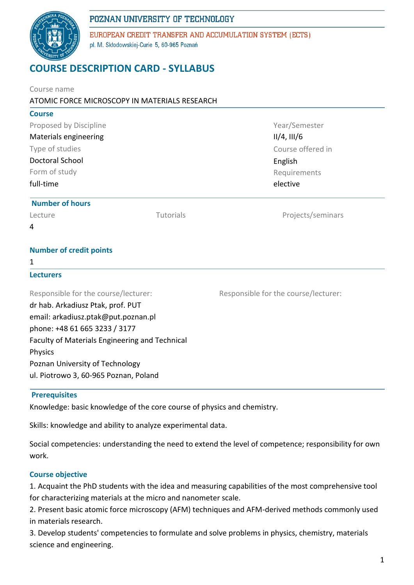

EUROPEAN CREDIT TRANSFER AND ACCUMULATION SYSTEM (ECTS) pl. M. Skłodowskiej-Curie 5, 60-965 Poznań

# **COURSE DESCRIPTION CARD - SYLLABUS**

| Course name                                                             |  |                                                          |  |                        |           |                   |
|-------------------------------------------------------------------------|--|----------------------------------------------------------|--|------------------------|-----------|-------------------|
| ATOMIC FORCE MICROSCOPY IN MATERIALS RESEARCH                           |  |                                                          |  |                        |           |                   |
| <b>Course</b>                                                           |  |                                                          |  |                        |           |                   |
| Proposed by Discipline                                                  |  | Year/Semester                                            |  |                        |           |                   |
| Materials engineering                                                   |  | $II/4$ , $III/6$                                         |  |                        |           |                   |
| Type of studies<br><b>Doctoral School</b><br>Form of study<br>full-time |  | Course offered in<br>English<br>Requirements<br>elective |  |                        |           |                   |
|                                                                         |  |                                                          |  | <b>Number of hours</b> |           |                   |
|                                                                         |  |                                                          |  | Lecture                | Tutorials | Projects/seminars |
|                                                                         |  |                                                          |  | 4                      |           |                   |
| <b>Number of credit points</b>                                          |  |                                                          |  |                        |           |                   |
| 1                                                                       |  |                                                          |  |                        |           |                   |
| <b>Lecturers</b>                                                        |  |                                                          |  |                        |           |                   |
| Responsible for the course/lecturer:                                    |  | Responsible for the course/lecturer:                     |  |                        |           |                   |
| dr hab. Arkadiusz Ptak, prof. PUT                                       |  |                                                          |  |                        |           |                   |
| email: arkadiusz.ptak@put.poznan.pl                                     |  |                                                          |  |                        |           |                   |
| phone: +48 61 665 3233 / 3177                                           |  |                                                          |  |                        |           |                   |
| Faculty of Materials Engineering and Technical                          |  |                                                          |  |                        |           |                   |
| Physics                                                                 |  |                                                          |  |                        |           |                   |
| Poznan University of Technology                                         |  |                                                          |  |                        |           |                   |
| ul. Piotrowo 3, 60-965 Poznan, Poland                                   |  |                                                          |  |                        |           |                   |
|                                                                         |  |                                                          |  |                        |           |                   |

#### **Prerequisites**

Knowledge: basic knowledge of the core course of physics and chemistry.

Skills: knowledge and ability to analyze experimental data.

Social competencies: understanding the need to extend the level of competence; responsibility for own work.

## **Course objective**

1. Acquaint the PhD students with the idea and measuring capabilities of the most comprehensive tool for characterizing materials at the micro and nanometer scale.

2. Present basic atomic force microscopy (AFM) techniques and AFM-derived methods commonly used in materials research.

3. Develop students' competencies to formulate and solve problems in physics, chemistry, materials science and engineering.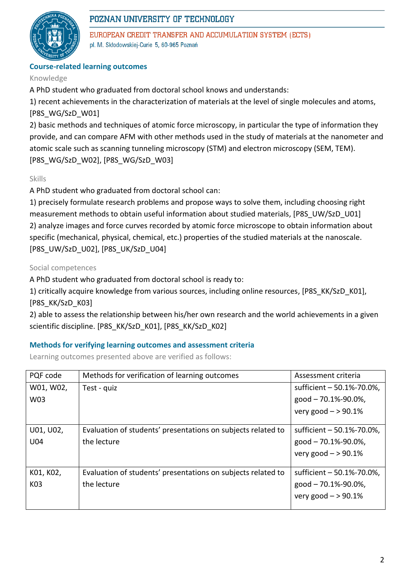

EUROPEAN CREDIT TRANSFER AND ACCUMULATION SYSTEM (ECTS) pl. M. Skłodowskiej-Curie 5, 60-965 Poznań

## **Course-related learning outcomes**

#### Knowledge

A PhD student who graduated from doctoral school knows and understands:

1) recent achievements in the characterization of materials at the level of single molecules and atoms, [P8S\_WG/SzD\_W01]

2) basic methods and techniques of atomic force microscopy, in particular the type of information they provide, and can compare AFM with other methods used in the study of materials at the nanometer and atomic scale such as scanning tunneling microscopy (STM) and electron microscopy (SEM, TEM). [P8S\_WG/SzD\_W02], [P8S\_WG/SzD\_W03]

## Skills

A PhD student who graduated from doctoral school can:

1) precisely formulate research problems and propose ways to solve them, including choosing right measurement methods to obtain useful information about studied materials, [P8S\_UW/SzD\_U01] 2) analyze images and force curves recorded by atomic force microscope to obtain information about specific (mechanical, physical, chemical, etc.) properties of the studied materials at the nanoscale. [P8S\_UW/SzD\_U02], [P8S\_UK/SzD\_U04]

## Social competences

A PhD student who graduated from doctoral school is ready to:

1) critically acquire knowledge from various sources, including online resources, [P8S\_KK/SzD\_K01], [P8S\_KK/SzD\_K03]

2) able to assess the relationship between his/her own research and the world achievements in a given scientific discipline. [P8S\_KK/SzD\_K01], [P8S\_KK/SzD\_K02]

## **Methods for verifying learning outcomes and assessment criteria**

Learning outcomes presented above are verified as follows:

| PQF code  | Methods for verification of learning outcomes                | Assessment criteria       |  |
|-----------|--------------------------------------------------------------|---------------------------|--|
| W01, W02, | Test - quiz                                                  | sufficient - 50.1%-70.0%, |  |
| W03       |                                                              | good - 70.1%-90.0%,       |  |
|           |                                                              | very good $-$ > 90.1%     |  |
|           |                                                              |                           |  |
| U01, U02, | Evaluation of students' presentations on subjects related to | sufficient - 50.1%-70.0%, |  |
| U04       | the lecture                                                  | good $-70.1\% - 90.0\%$ , |  |
|           |                                                              | very good $-$ > 90.1%     |  |
|           |                                                              |                           |  |
| K01, K02, | Evaluation of students' presentations on subjects related to | sufficient - 50.1%-70.0%, |  |
| K03       | the lecture                                                  | $good - 70.1\% - 90.0\%$  |  |
|           |                                                              | very good $-$ > 90.1%     |  |
|           |                                                              |                           |  |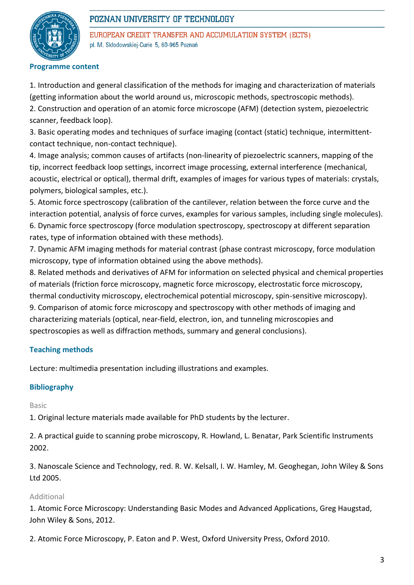

EUROPEAN CREDIT TRANSFER AND ACCUMULATION SYSTEM (ECTS) pl. M. Skłodowskiej-Curie 5, 60-965 Poznań

#### **Programme content**

1. Introduction and general classification of the methods for imaging and characterization of materials (getting information about the world around us, microscopic methods, spectroscopic methods). 2. Construction and operation of an atomic force microscope (AFM) (detection system, piezoelectric scanner, feedback loop).

3. Basic operating modes and techniques of surface imaging (contact (static) technique, intermittentcontact technique, non-contact technique).

4. Image analysis; common causes of artifacts (non-linearity of piezoelectric scanners, mapping of the tip, incorrect feedback loop settings, incorrect image processing, external interference (mechanical, acoustic, electrical or optical), thermal drift, examples of images for various types of materials: crystals, polymers, biological samples, etc.).

5. Atomic force spectroscopy (calibration of the cantilever, relation between the force curve and the interaction potential, analysis of force curves, examples for various samples, including single molecules). 6. Dynamic force spectroscopy (force modulation spectroscopy, spectroscopy at different separation rates, type of information obtained with these methods).

7. Dynamic AFM imaging methods for material contrast (phase contrast microscopy, force modulation microscopy, type of information obtained using the above methods).

8. Related methods and derivatives of AFM for information on selected physical and chemical properties of materials (friction force microscopy, magnetic force microscopy, electrostatic force microscopy, thermal conductivity microscopy, electrochemical potential microscopy, spin-sensitive microscopy).

9. Comparison of atomic force microscopy and spectroscopy with other methods of imaging and characterizing materials (optical, near-field, electron, ion, and tunneling microscopies and spectroscopies as well as diffraction methods, summary and general conclusions).

## **Teaching methods**

Lecture: multimedia presentation including illustrations and examples.

## **Bibliography**

Basic

1. Original lecture materials made available for PhD students by the lecturer.

2. A practical guide to scanning probe microscopy, R. Howland, L. Benatar, Park Scientific Instruments 2002.

3. Nanoscale Science and Technology, red. R. W. Kelsall, I. W. Hamley, M. Geoghegan, John Wiley & Sons Ltd 2005.

## Additional

1. Atomic Force Microscopy: Understanding Basic Modes and Advanced Applications, Greg Haugstad, John Wiley & Sons, 2012.

2. Atomic Force Microscopy, P. Eaton and P. West, Oxford University Press, Oxford 2010.